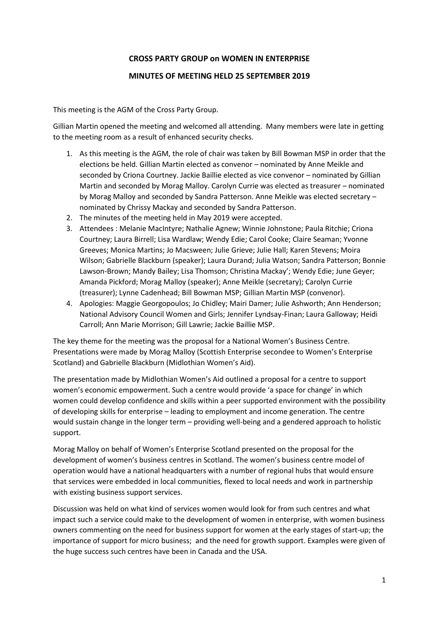## **CROSS PARTY GROUP on WOMEN IN ENTERPRISE**

## **MINUTES OF MEETING HELD 25 SEPTEMBER 2019**

This meeting is the AGM of the Cross Party Group.

Gillian Martin opened the meeting and welcomed all attending. Many members were late in getting to the meeting room as a result of enhanced security checks.

- 1. As this meeting is the AGM, the role of chair was taken by Bill Bowman MSP in order that the elections be held. Gillian Martin elected as convenor – nominated by Anne Meikle and seconded by Criona Courtney. Jackie Baillie elected as vice convenor – nominated by Gillian Martin and seconded by Morag Malloy. Carolyn Currie was elected as treasurer – nominated by Morag Malloy and seconded by Sandra Patterson. Anne Meikle was elected secretary – nominated by Chrissy Mackay and seconded by Sandra Patterson.
- 2. The minutes of the meeting held in May 2019 were accepted.
- 3. Attendees : Melanie MacIntyre; Nathalie Agnew; Winnie Johnstone; Paula Ritchie; Criona Courtney; Laura Birrell; Lisa Wardlaw; Wendy Edie; Carol Cooke; Claire Seaman; Yvonne Greeves; Monica Martins; Jo Macsween; Julie Grieve; Julie Hall; Karen Stevens; Moira Wilson; Gabrielle Blackburn (speaker); Laura Durand; Julia Watson; Sandra Patterson; Bonnie Lawson-Brown; Mandy Bailey; Lisa Thomson; Christina Mackay'; Wendy Edie; June Geyer; Amanda Pickford; Morag Malloy (speaker); Anne Meikle (secretary); Carolyn Currie (treasurer); Lynne Cadenhead; Bill Bowman MSP; Gillian Martin MSP (convenor).
- 4. Apologies: Maggie Georgopoulos; Jo Chidley; Mairi Damer; Julie Ashworth; Ann Henderson; National Advisory Council Women and Girls; Jennifer Lyndsay-Finan; Laura Galloway; Heidi Carroll; Ann Marie Morrison; Gill Lawrie; Jackie Baillie MSP.

The key theme for the meeting was the proposal for a National Women's Business Centre. Presentations were made by Morag Malloy (Scottish Enterprise secondee to Women's Enterprise Scotland) and Gabrielle Blackburn (Midlothian Women's Aid).

The presentation made by Midlothian Women's Aid outlined a proposal for a centre to support women's economic empowerment. Such a centre would provide 'a space for change' in which women could develop confidence and skills within a peer supported environment with the possibility of developing skills for enterprise – leading to employment and income generation. The centre would sustain change in the longer term – providing well-being and a gendered approach to holistic support.

Morag Malloy on behalf of Women's Enterprise Scotland presented on the proposal for the development of women's business centres in Scotland. The women's business centre model of operation would have a national headquarters with a number of regional hubs that would ensure that services were embedded in local communities, flexed to local needs and work in partnership with existing business support services.

Discussion was held on what kind of services women would look for from such centres and what impact such a service could make to the development of women in enterprise, with women business owners commenting on the need for business support for women at the early stages of start-up; the importance of support for micro business; and the need for growth support. Examples were given of the huge success such centres have been in Canada and the USA.